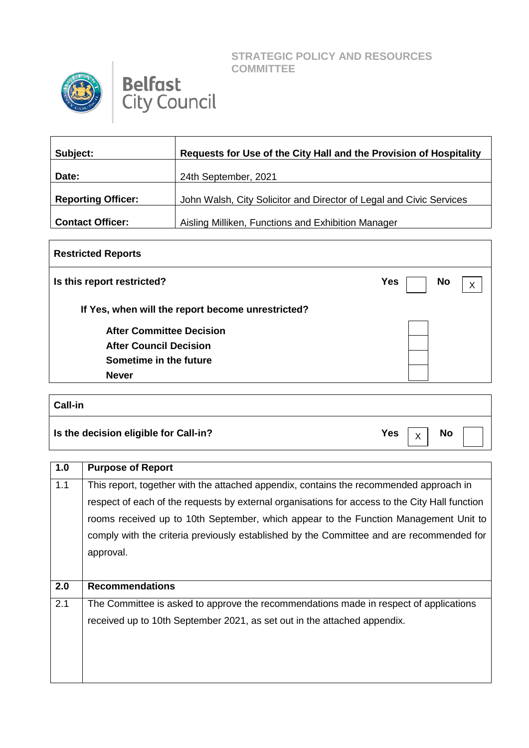**STRATEGIC POLICY AND RESOURCES COMMITTEE**



## **Belfast**<br>City Council

| Subject:                  | Requests for Use of the City Hall and the Provision of Hospitality  |
|---------------------------|---------------------------------------------------------------------|
| Date:                     | 24th September, 2021                                                |
| <b>Reporting Officer:</b> | John Walsh, City Solicitor and Director of Legal and Civic Services |
| <b>Contact Officer:</b>   | Aisling Milliken, Functions and Exhibition Manager                  |

| <b>Restricted Reports</b>                         |                         |  |
|---------------------------------------------------|-------------------------|--|
| Is this report restricted?                        | <b>Yes</b><br><b>No</b> |  |
| If Yes, when will the report become unrestricted? |                         |  |
| <b>After Committee Decision</b>                   |                         |  |
| <b>After Council Decision</b>                     |                         |  |
| Sometime in the future                            |                         |  |
| <b>Never</b>                                      |                         |  |
|                                                   |                         |  |

## **Call-in Is the decision eligible for Call-in?** The set of the set of the set of the set of the set of the set of the set of the set of the set of the set of the set of the set of the set of the set of the set of the set of the s X

| 1.0 | <b>Purpose of Report</b>                                                                       |
|-----|------------------------------------------------------------------------------------------------|
| 1.1 | This report, together with the attached appendix, contains the recommended approach in         |
|     | respect of each of the requests by external organisations for access to the City Hall function |
|     | rooms received up to 10th September, which appear to the Function Management Unit to           |
|     | comply with the criteria previously established by the Committee and are recommended for       |
|     | approval.                                                                                      |
|     |                                                                                                |
| 2.0 | <b>Recommendations</b>                                                                         |
| 2.1 | The Committee is asked to approve the recommendations made in respect of applications          |
|     | received up to 10th September 2021, as set out in the attached appendix.                       |
|     |                                                                                                |
|     |                                                                                                |
|     |                                                                                                |